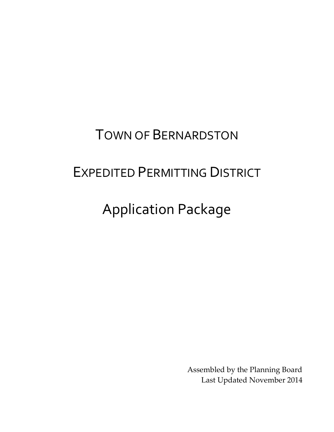## TOWN OF BERNARDSTON

# EXPEDITED PERMITTING DISTRICT

# Application Package

Assembled by the Planning Board Last Updated November 2014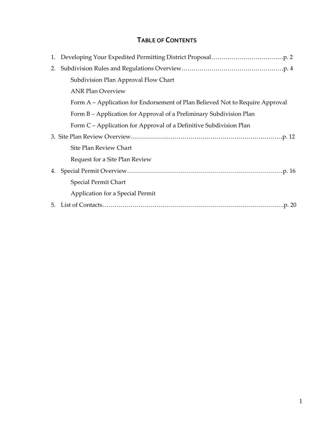### **TABLE OF CONTENTS**

| 2. |                                                                               |
|----|-------------------------------------------------------------------------------|
|    | Subdivision Plan Approval Flow Chart                                          |
|    | <b>ANR Plan Overview</b>                                                      |
|    | Form A – Application for Endorsement of Plan Believed Not to Require Approval |
|    | Form B – Application for Approval of a Preliminary Subdivision Plan           |
|    | Form C – Application for Approval of a Definitive Subdivision Plan            |
|    |                                                                               |
|    | Site Plan Review Chart                                                        |
|    | Request for a Site Plan Review                                                |
|    |                                                                               |
|    | Special Permit Chart                                                          |
|    | Application for a Special Permit                                              |
|    |                                                                               |
|    |                                                                               |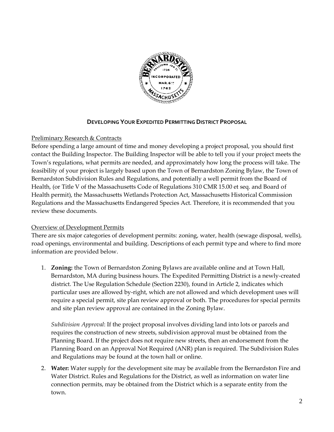

#### **DEVELOPING YOUR EXPEDITED PERMITTING DISTRICT PROPOSAL**

#### Preliminary Research & Contracts

Before spending a large amount of time and money developing a project proposal, you should first contact the Building Inspector. The Building Inspector will be able to tell you if your project meets the Town's regulations, what permits are needed, and approximately how long the process will take. The feasibility of your project is largely based upon the Town of Bernardston Zoning Bylaw, the Town of Bernardston Subdivision Rules and Regulations, and potentially a well permit from the Board of Health, (or Title V of the Massachusetts Code of Regulations 310 CMR 15.00 et seq. and Board of Health permit), the Massachusetts Wetlands Protection Act, Massachusetts Historical Commission Regulations and the Massachusetts Endangered Species Act. Therefore, it is recommended that you review these documents.

#### Overview of Development Permits

There are six major categories of development permits: zoning, water, health (sewage disposal, wells), road openings, environmental and building. Descriptions of each permit type and where to find more information are provided below.

1. **Zoning:** the Town of Bernardston Zoning Bylaws are available online and at Town Hall, Bernardston, MA during business hours. The Expedited Permitting District is a newly-created district. The Use Regulation Schedule (Section 2230), found in Article 2, indicates which particular uses are allowed by-right, which are not allowed and which development uses will require a special permit, site plan review approval or both. The procedures for special permits and site plan review approval are contained in the Zoning Bylaw.

*Subdivision Approval*: If the project proposal involves dividing land into lots or parcels and requires the construction of new streets, subdivision approval must be obtained from the Planning Board. If the project does not require new streets, then an endorsement from the Planning Board on an Approval Not Required (ANR) plan is required. The Subdivision Rules and Regulations may be found at the town hall or online.

2. **Water:** Water supply for the development site may be available from the Bernardston Fire and Water District. Rules and Regulations for the District, as well as information on water line connection permits, may be obtained from the District which is a separate entity from the town.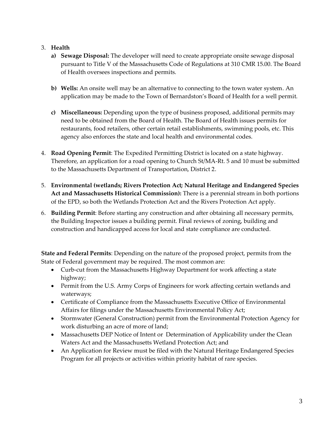#### 3. **Health**

- **a) Sewage Disposal:** The developer will need to create appropriate onsite sewage disposal pursuant to Title V of the Massachusetts Code of Regulations at 310 CMR 15.00. The Board of Health oversees inspections and permits.
- **b) Wells:** An onsite well may be an alternative to connecting to the town water system. An application may be made to the Town of Bernardston's Board of Health for a well permit.
- **c) Miscellaneous:** Depending upon the type of business proposed, additional permits may need to be obtained from the Board of Health. The Board of Health issues permits for restaurants, food retailers, other certain retail establishments, swimming pools, etc. This agency also enforces the state and local health and environmental codes.
- 4. **Road Opening Permit**: The Expedited Permitting District is located on a state highway. Therefore, an application for a road opening to Church St/MA-Rt. 5 and 10 must be submitted to the Massachusetts Department of Transportation, District 2.
- 5. **Environmental (wetlands; Rivers Protection Act; Natural Heritage and Endangered Species Act and Massachusetts Historical Commission):** There is a perennial stream in both portions of the EPD, so both the Wetlands Protection Act and the Rivers Protection Act apply.
- 6. **Building Permit**: Before starting any construction and after obtaining all necessary permits, the Building Inspector issues a building permit. Final reviews of zoning, building and construction and handicapped access for local and state compliance are conducted.

**State and Federal Permits**: Depending on the nature of the proposed project, permits from the State of Federal government may be required. The most common are:

- Curb-cut from the Massachusetts Highway Department for work affecting a state highway;
- Permit from the U.S. Army Corps of Engineers for work affecting certain wetlands and waterways;
- Certificate of Compliance from the Massachusetts Executive Office of Environmental Affairs for filings under the Massachusetts Environmental Policy Act;
- Stormwater (General Construction) permit from the Environmental Protection Agency for work disturbing an acre of more of land;
- Massachusetts DEP Notice of Intent or Determination of Applicability under the Clean Waters Act and the Massachusetts Wetland Protection Act; and
- An Application for Review must be filed with the Natural Heritage Endangered Species Program for all projects or activities within priority habitat of rare species.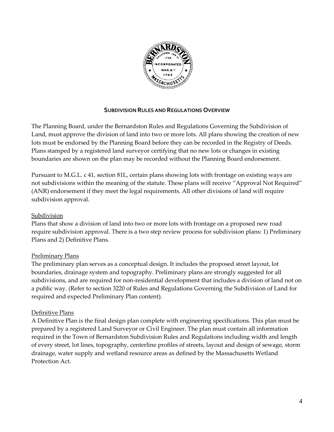

#### **SUBDIVISION RULES AND REGULATIONS OVERVIEW**

The Planning Board, under the Bernardston Rules and Regulations Governing the Subdivision of Land, must approve the division of land into two or more lots. All plans showing the creation of new lots must be endorsed by the Planning Board before they can be recorded in the Registry of Deeds. Plans stamped by a registered land surveyor certifying that no new lots or changes in existing boundaries are shown on the plan may be recorded without the Planning Board endorsement.

Pursuant to M.G.L. c 41, section 81L, certain plans showing lots with frontage on existing ways are not subdivisions within the meaning of the statute. These plans will receive "Approval Not Required" (ANR) endorsement if they meet the legal requirements. All other divisions of land will require subdivision approval.

#### Subdivision

Plans that show a division of land into two or more lots with frontage on a proposed new road require subdivision approval. There is a two step review process for subdivision plans: 1) Preliminary Plans and 2) Definitive Plans.

#### Preliminary Plans

The preliminary plan serves as a conceptual design. It includes the proposed street layout, lot boundaries, drainage system and topography. Preliminary plans are strongly suggested for all subdivisions, and are required for non-residential development that includes a division of land not on a public way. (Refer to section 3220 of Rules and Regulations Governing the Subdivision of Land for required and expected Preliminary Plan content).

#### Definitive Plans

A Definitive Plan is the final design plan complete with engineering specifications. This plan must be prepared by a registered Land Surveyor or Civil Engineer. The plan must contain all information required in the Town of Bernardston Subdivision Rules and Regulations including width and length of every street, lot lines, topography, centerline profiles of streets, layout and design of sewage, storm drainage, water supply and wetland resource areas as defined by the Massachusetts Wetland Protection Act.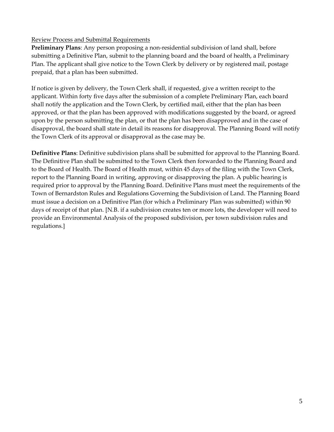#### Review Process and Submittal Requirements

**Preliminary Plans**: Any person proposing a non-residential subdivision of land shall, before submitting a Definitive Plan, submit to the planning board and the board of health, a Preliminary Plan. The applicant shall give notice to the Town Clerk by delivery or by registered mail, postage prepaid, that a plan has been submitted.

If notice is given by delivery, the Town Clerk shall, if requested, give a written receipt to the applicant. Within forty five days after the submission of a complete Preliminary Plan, each board shall notify the application and the Town Clerk, by certified mail, either that the plan has been approved, or that the plan has been approved with modifications suggested by the board, or agreed upon by the person submitting the plan, or that the plan has been disapproved and in the case of disapproval, the board shall state in detail its reasons for disapproval. The Planning Board will notify the Town Clerk of its approval or disapproval as the case may be.

**Definitive Plans**: Definitive subdivision plans shall be submitted for approval to the Planning Board. The Definitive Plan shall be submitted to the Town Clerk then forwarded to the Planning Board and to the Board of Health. The Board of Health must, within 45 days of the filing with the Town Clerk, report to the Planning Board in writing, approving or disapproving the plan. A public hearing is required prior to approval by the Planning Board. Definitive Plans must meet the requirements of the Town of Bernardston Rules and Regulations Governing the Subdivision of Land. The Planning Board must issue a decision on a Definitive Plan (for which a Preliminary Plan was submitted) within 90 days of receipt of that plan. [N.B. if a subdivision creates ten or more lots, the developer will need to provide an Environmental Analysis of the proposed subdivision, per town subdivision rules and regulations.]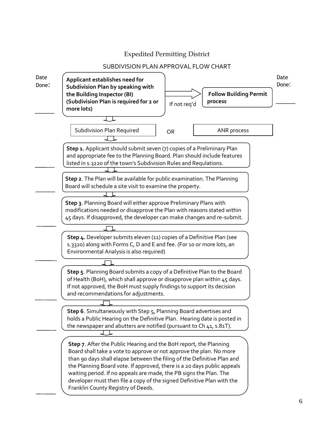#### Expedited Permitting District

#### SUBDIVISION PLAN APPROVAL FLOW CHART

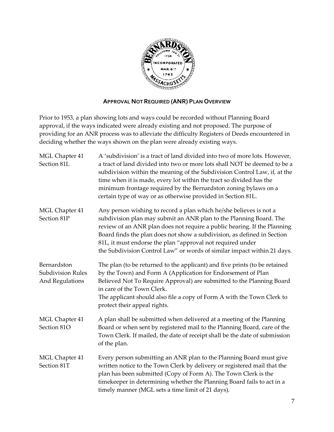

#### **APPROVAL NOT REQUIRED (ANR) PLAN OVERVIEW**

Prior to 1953, a plan showing lots and ways could be recorded without Planning Board approval, if the ways indicated were already existing and not proposed. The purpose of providing for an ANR process was to alleviate the difficulty Registers of Deeds encountered in deciding whether the ways shown on the plan were already existing ways.

| MGL Chapter 41<br>Section 81L                              | A 'subdivision' is a tract of land divided into two of more lots. However,<br>a tract of land divided into two or more lots shall NOT be deemed to be a<br>subdivision within the meaning of the Subdivision Control Law, if, at the<br>time when it is made, every lot within the tract so divided has the<br>minimum frontage required by the Bernardston zoning bylaws on a<br>certain type of way or as otherwise provided in Section 81L. |
|------------------------------------------------------------|------------------------------------------------------------------------------------------------------------------------------------------------------------------------------------------------------------------------------------------------------------------------------------------------------------------------------------------------------------------------------------------------------------------------------------------------|
| MGL Chapter 41<br>Section 81P                              | Any person wishing to record a plan which he/she believes is not a<br>subdivision plan may submit an ANR plan to the Planning Board. The<br>review of an ANR plan does not require a public hearing. If the Planning<br>Board finds the plan does not show a subdivision, as defined in Section<br>81L, it must endorse the plan "approval not required under<br>the Subdivision Control Law" or words of similar impact within 21 days.       |
| Bernardston<br><b>Subdivision Rules</b><br>And Regulations | The plan (to be returned to the applicant) and five prints (to be retained<br>by the Town) and Form A (Application for Endorsement of Plan<br>Believed Not To Require Approval) are submitted to the Planning Board<br>in care of the Town Clerk.<br>The applicant should also file a copy of Form A with the Town Clerk to<br>protect their appeal rights.                                                                                    |
| MGL Chapter 41<br>Section 81O                              | A plan shall be submitted when delivered at a meeting of the Planning<br>Board or when sent by registered mail to the Planning Board, care of the<br>Town Clerk. If mailed, the date of receipt shall be the date of submission<br>of the plan.                                                                                                                                                                                                |
| MGL Chapter 41<br>Section 81T                              | Every person submitting an ANR plan to the Planning Board must give<br>written notice to the Town Clerk by delivery or registered mail that the<br>plan has been submitted (Copy of Form A). The Town Clerk is the<br>timekeeper in determining whether the Planning Board fails to act in a<br>timely manner (MGL sets a time limit of 21 days).                                                                                              |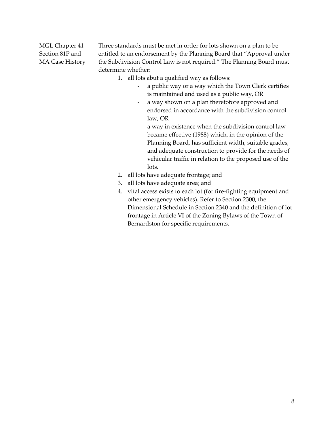MGL Chapter 41 Three standards must be met in order for lots shown on a plan to be Section 81P and entitled to an endorsement by the Planning Board that "Approval under MA Case History the Subdivision Control Law is not required." The Planning Board must determine whether:

- 1. all lots abut a qualified way as follows:
	- a public way or a way which the Town Clerk certifies is maintained and used as a public way, OR
	- a way shown on a plan theretofore approved and endorsed in accordance with the subdivision control law, OR
	- a way in existence when the subdivision control law became effective (1988) which, in the opinion of the Planning Board, has sufficient width, suitable grades, and adequate construction to provide for the needs of vehicular traffic in relation to the proposed use of the lots.
- 2. all lots have adequate frontage; and
- 3. all lots have adequate area; and
- 4. vital access exists to each lot (for fire-fighting equipment and other emergency vehicles). Refer to Section 2300, the Dimensional Schedule in Section 2340 and the definition of lot frontage in Article VI of the Zoning Bylaws of the Town of Bernardston for specific requirements.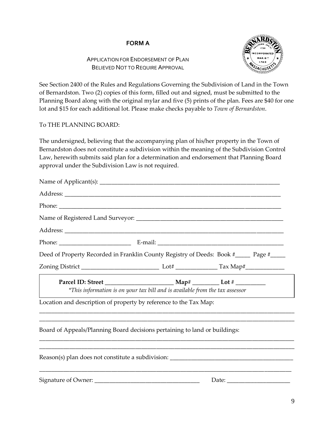#### **FORM A**

#### APPLICATION FOR ENDORSEMENT OF PLAN BELIEVED NOT TO REQUIRE APPROVAL



See Section 2400 of the Rules and Regulations Governing the Subdivision of Land in the Town of Bernardston. Two (2) copies of this form, filled out and signed, must be submitted to the Planning Board along with the original mylar and five (5) prints of the plan. Fees are \$40 for one lot and \$15 for each additional lot. Please make checks payable to *Town of Bernardston*.

#### To THE PLANNING BOARD:

The undersigned, believing that the accompanying plan of his/her property in the Town of Bernardston does not constitute a subdivision within the meaning of the Subdivision Control Law, herewith submits said plan for a determination and endorsement that Planning Board approval under the Subdivision Law is not required.

| Deed of Property Recorded in Franklin County Registry of Deeds: Book #_____ Page #____ |                                                                              |  |
|----------------------------------------------------------------------------------------|------------------------------------------------------------------------------|--|
|                                                                                        |                                                                              |  |
|                                                                                        | *This information is on your tax bill and is available from the tax assessor |  |
| Location and description of property by reference to the Tax Map:                      |                                                                              |  |
| Board of Appeals/Planning Board decisions pertaining to land or buildings:             |                                                                              |  |
|                                                                                        |                                                                              |  |
|                                                                                        |                                                                              |  |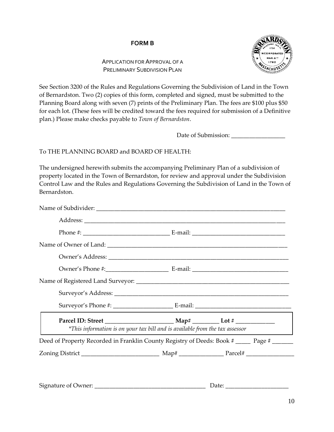#### **FORM B**

#### APPLICATION FOR APPROVAL OF A PRELIMINARY SUBDIVISION PLAN



See Section 3200 of the Rules and Regulations Governing the Subdivision of Land in the Town of Bernardston. Two (2) copies of this form, completed and signed, must be submitted to the Planning Board along with seven (7) prints of the Preliminary Plan. The fees are \$100 plus \$50 for each lot. (These fees will be credited toward the fees required for submission of a Definitive plan.) Please make checks payable to *Town of Bernardston*.

Date of Submission: \_\_\_\_\_\_\_\_\_\_\_\_\_\_\_\_\_\_

#### To THE PLANNING BOARD and BOARD OF HEALTH:

The undersigned herewith submits the accompanying Preliminary Plan of a subdivision of property located in the Town of Bernardston, for review and approval under the Subdivision Control Law and the Rules and Regulations Governing the Subdivision of Land in the Town of Bernardston.

| *This information is on your tax bill and is available from the tax assessor              |  |
|-------------------------------------------------------------------------------------------|--|
| Deed of Property Recorded in Franklin County Registry of Deeds: Book # _____ Page # _____ |  |
|                                                                                           |  |
|                                                                                           |  |

| Signature of Owner: |  |
|---------------------|--|
|                     |  |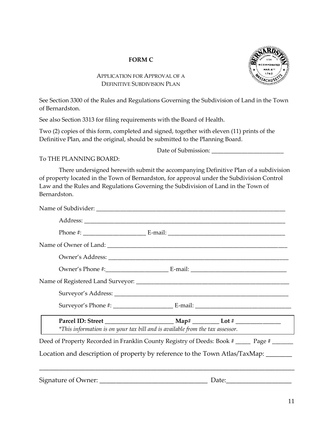#### **FORM C**



#### APPLICATION FOR APPROVAL OF A DEFINITIVE SUBDIVISION PLAN

See Section 3300 of the Rules and Regulations Governing the Subdivision of Land in the Town of Bernardston.

See also Section 3313 for filing requirements with the Board of Health.

Two (2) copies of this form, completed and signed, together with eleven (11) prints of the Definitive Plan, and the original, should be submitted to the Planning Board.

Date of Submission: \_\_\_\_\_\_\_\_\_\_\_\_\_\_\_\_\_\_\_\_\_\_\_\_

#### To THE PLANNING BOARD:

There undersigned herewith submit the accompanying Definitive Plan of a subdivision of property located in the Town of Bernardston, for approval under the Subdivision Control Law and the Rules and Regulations Governing the Subdivision of Land in the Town of Bernardston.

| *This information is on your tax bill and is available from the tax assessor.                |  |  |
|----------------------------------------------------------------------------------------------|--|--|
| Deed of Property Recorded in Franklin County Registry of Deeds: Book # ______ Page # _______ |  |  |
| Location and description of property by reference to the Town Atlas/TaxMap: _____            |  |  |
|                                                                                              |  |  |

Signature of Owner: \_\_\_\_\_\_\_\_\_\_\_\_\_\_\_\_\_\_\_\_\_\_\_\_\_\_\_\_\_\_\_\_\_ Date:\_\_\_\_\_\_\_\_\_\_\_\_\_\_\_\_\_\_\_\_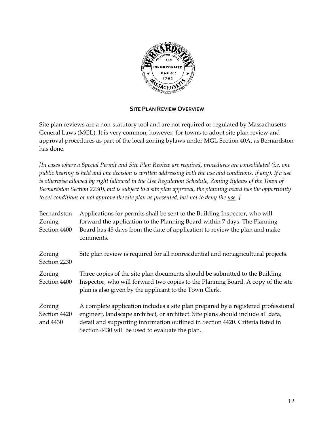

#### **SITE PLAN REVIEW OVERVIEW**

Site plan reviews are a non-statutory tool and are not required or regulated by Massachusetts General Laws (MGL). It is very common, however, for towns to adopt site plan review and approval procedures as part of the local zoning bylaws under MGL Section 40A, as Bernardston has done.

*[In cases where a Special Permit and Site Plan Review are required, procedures are consolidated (i.e. one public hearing is held and one decision is written addressing both the use and conditions, if any). If a use*  is otherwise allowed by right (allowed in the Use Regulation Schedule, Zoning Bylaws of the Town of *Bernardston Section 2230), but is subject to a site plan approval, the planning board has the opportunity to set conditions or not approve the site plan as presented, but not to deny the use. ]*

| Bernardston            | Applications for permits shall be sent to the Building Inspector, who will                                                                                                                                                |
|------------------------|---------------------------------------------------------------------------------------------------------------------------------------------------------------------------------------------------------------------------|
| Zoning                 | forward the application to the Planning Board within 7 days. The Planning                                                                                                                                                 |
| Section 4400           | Board has 45 days from the date of application to review the plan and make<br>comments.                                                                                                                                   |
| Zoning<br>Section 2230 | Site plan review is required for all nonresidential and nonagricultural projects.                                                                                                                                         |
| Zoning<br>Section 4400 | Three copies of the site plan documents should be submitted to the Building<br>Inspector, who will forward two copies to the Planning Board. A copy of the site<br>plan is also given by the applicant to the Town Clerk. |
| Zoning                 | A complete application includes a site plan prepared by a registered professional                                                                                                                                         |
| Section 4420           | engineer, landscape architect, or architect. Site plans should include all data,                                                                                                                                          |
| and 4430               | detail and supporting information outlined in Section 4420. Criteria listed in                                                                                                                                            |
|                        | Section 4430 will be used to evaluate the plan.                                                                                                                                                                           |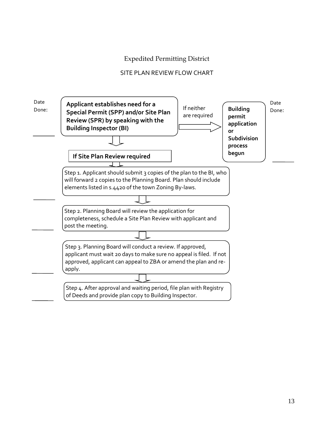#### Expedited Permitting District

#### SITE PLAN REVIEW FLOW CHART

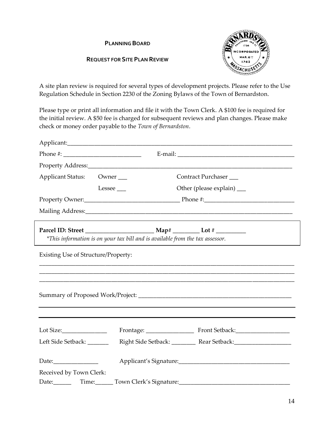#### **PLANNING BOARD**

#### **REQUEST FOR SITE PLAN REVIEW**



A site plan review is required for several types of development projects. Please refer to the Use Regulation Schedule in Section 2230 of the Zoning Bylaws of the Town of Bernardston.

Please type or print all information and file it with the Town Clerk. A \$100 fee is required for the initial review. A \$50 fee is charged for subsequent reviews and plan changes. Please make check or money order payable to the *Town of Bernardston*.

| Applicant Status: Owner             |                                                                               | Contract Purchaser                  |  |  |
|-------------------------------------|-------------------------------------------------------------------------------|-------------------------------------|--|--|
|                                     | Lessee                                                                        | Other (please explain) __           |  |  |
|                                     |                                                                               |                                     |  |  |
|                                     |                                                                               |                                     |  |  |
|                                     |                                                                               |                                     |  |  |
|                                     | *This information is on your tax bill and is available from the tax assessor. |                                     |  |  |
| Existing Use of Structure/Property: |                                                                               |                                     |  |  |
| Lot Size:________________           |                                                                               |                                     |  |  |
| Left Side Setback: _______          |                                                                               |                                     |  |  |
| Date:<br>Received by Town Clerk:    |                                                                               |                                     |  |  |
|                                     |                                                                               | Date: Time: Town Clerk's Signature: |  |  |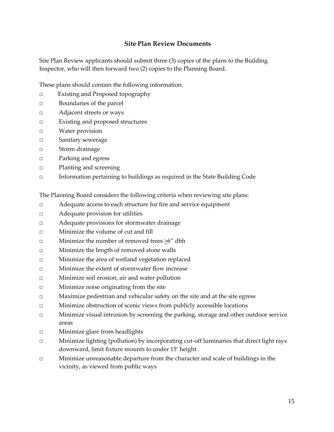#### **Site Plan Review Documents**

Site Plan Review applicants should submit three (3) copies of the plans to the Building Inspector, who will then forward two (2) copies to the Planning Board.

These plans should contain the following information:

- □ Existing and Proposed topography
- □ Boundaries of the parcel
- □ Adjacent streets or ways
- □ Existing and proposed structures
- □ Water provision
- □ Sanitary sewerage
- □ Storm drainage
- □ Parking and egress
- □ Planting and screening
- □ Information pertaining to buildings as required in the State Building Code

The Planning Board considers the following criteria when reviewing site plans:

- □ Adequate access to each structure for fire and service equipment
- □ Adequate provision for utilities
- □ Adequate provisions for stormwater drainage
- □ Minimize the volume of cut and fill
- □ Minimize the number of removed trees  $≥6"$  dbh
- □ Minimize the length of removed stone walls
- □ Minimize the area of wetland vegetation replaced
- □ Minimize the extent of stormwater flow increase
- □ Minimize soil erosion, air and water pollution
- □ Minimize noise originating from the site
- □ Maximize pedestrian and vehicular safety on the site and at the site egress
- □ Minimize obstruction of scenic views from publicly accessible locations
- □ Minimize visual intrusion by screening the parking, storage and other outdoor service areas
- □ Minimize glare from headlights
- □ Minimize lighting (pollution) by incorporating cut-off luminaries that direct light rays downward, limit fixture mounts to under 15' height
- □ Minimize unreasonable departure from the character and scale of buildings in the vicinity, as viewed from public ways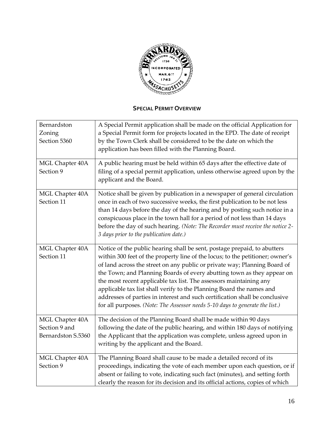

#### **SPECIAL PERMIT OVERVIEW**

| Bernardston<br>Zoning<br>Section 5360                  | A Special Permit application shall be made on the official Application for<br>a Special Permit form for projects located in the EPD. The date of receipt<br>by the Town Clerk shall be considered to be the date on which the<br>application has been filled with the Planning Board.                                                                                                                                                                                                                                                                                                                                         |
|--------------------------------------------------------|-------------------------------------------------------------------------------------------------------------------------------------------------------------------------------------------------------------------------------------------------------------------------------------------------------------------------------------------------------------------------------------------------------------------------------------------------------------------------------------------------------------------------------------------------------------------------------------------------------------------------------|
| MGL Chapter 40A<br>Section 9                           | A public hearing must be held within 65 days after the effective date of<br>filing of a special permit application, unless otherwise agreed upon by the<br>applicant and the Board.                                                                                                                                                                                                                                                                                                                                                                                                                                           |
| MGL Chapter 40A<br>Section 11                          | Notice shall be given by publication in a newspaper of general circulation<br>once in each of two successive weeks, the first publication to be not less<br>than 14 days before the day of the hearing and by posting such notice in a<br>conspicuous place in the town hall for a period of not less than 14 days<br>before the day of such hearing. (Note: The Recorder must receive the notice 2-<br>3 days prior to the publication date.)                                                                                                                                                                                |
| MGL Chapter 40A<br>Section 11                          | Notice of the public hearing shall be sent, postage prepaid, to abutters<br>within 300 feet of the property line of the locus; to the petitioner; owner's<br>of land across the street on any public or private way; Planning Board of<br>the Town; and Planning Boards of every abutting town as they appear on<br>the most recent applicable tax list. The assessors maintaining any<br>applicable tax list shall verify to the Planning Board the names and<br>addresses of parties in interest and such certification shall be conclusive<br>for all purposes. (Note: The Assessor needs 5-10 days to generate the list.) |
| MGL Chapter 40A<br>Section 9 and<br>Bernardston S.5360 | The decision of the Planning Board shall be made within 90 days<br>following the date of the public hearing, and within 180 days of notifying<br>the Applicant that the application was complete, unless agreed upon in<br>writing by the applicant and the Board.                                                                                                                                                                                                                                                                                                                                                            |
| MGL Chapter 40A<br>Section 9                           | The Planning Board shall cause to be made a detailed record of its<br>proceedings, indicating the vote of each member upon each question, or if<br>absent or failing to vote, indicating such fact (minutes), and setting forth<br>clearly the reason for its decision and its official actions, copies of which                                                                                                                                                                                                                                                                                                              |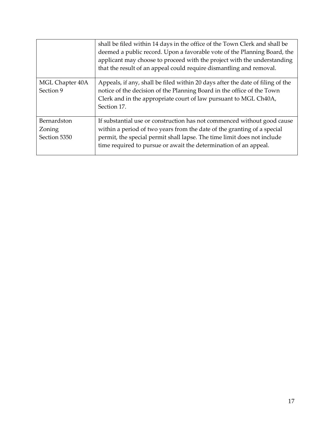|                                       | shall be filed within 14 days in the office of the Town Clerk and shall be<br>deemed a public record. Upon a favorable vote of the Planning Board, the<br>applicant may choose to proceed with the project with the understanding<br>that the result of an appeal could require dismantling and removal. |
|---------------------------------------|----------------------------------------------------------------------------------------------------------------------------------------------------------------------------------------------------------------------------------------------------------------------------------------------------------|
| MGL Chapter 40A<br>Section 9          | Appeals, if any, shall be filed within 20 days after the date of filing of the<br>notice of the decision of the Planning Board in the office of the Town<br>Clerk and in the appropriate court of law pursuant to MGL Ch40A,<br>Section 17.                                                              |
| Bernardston<br>Zoning<br>Section 5350 | If substantial use or construction has not commenced without good cause<br>within a period of two years from the date of the granting of a special<br>permit, the special permit shall lapse. The time limit does not include<br>time required to pursue or await the determination of an appeal.        |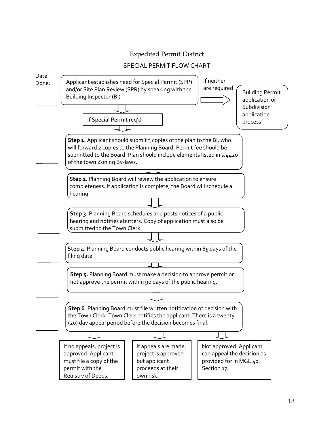#### Expedited Permit District

#### SPECIAL PERMIT FLOW CHART

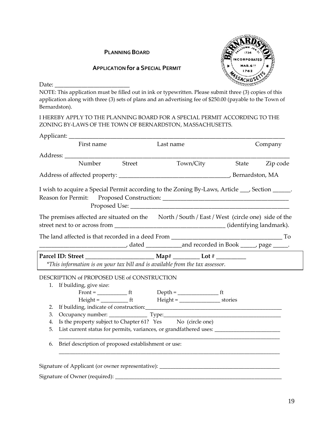#### **PLANNING BOARD**



#### **APPLICATION for a SPECIAL PERMIT**

Date: \_\_\_\_\_\_\_\_\_\_\_\_\_\_\_\_\_\_\_\_\_\_\_\_\_

NOTE: This application must be filled out in ink or typewritten. Please submit three (3) copies of this application along with three (3) sets of plans and an advertising fee of \$250.00 (payable to the Town of Bernardston).

I HEREBY APPLY TO THE PLANNING BOARD FOR A SPECIAL PERMIT ACCORDING TO THE ZONING BY-LAWS OF THE TOWN OF BERNARDSTON, MASSACHUSETTS.

|    | First name                                                                                      |        | Last name |                                       |       | Company  |
|----|-------------------------------------------------------------------------------------------------|--------|-----------|---------------------------------------|-------|----------|
|    |                                                                                                 |        |           |                                       |       |          |
|    | Number                                                                                          | Street |           | Town/City                             | State | Zip code |
|    |                                                                                                 |        |           |                                       |       |          |
|    | I wish to acquire a Special Permit according to the Zoning By-Laws, Article ___, Section _____. |        |           |                                       |       |          |
|    |                                                                                                 |        |           |                                       |       |          |
|    | The premises affected are situated on the North / South / East / West (circle one) side of the  |        |           |                                       |       |          |
|    |                                                                                                 |        |           |                                       |       |          |
|    |                                                                                                 |        |           |                                       |       |          |
|    |                                                                                                 |        |           |                                       |       |          |
|    | *This information is on your tax bill and is available from the tax assessor.                   |        |           |                                       |       |          |
|    | DESCRIPTION of PROPOSED USE of CONSTRUCTION                                                     |        |           |                                       |       |          |
|    | 1. If building, give size:                                                                      |        |           |                                       |       |          |
|    |                                                                                                 |        |           |                                       |       |          |
|    |                                                                                                 |        |           | $Height =$ $first$ $Height =$ $first$ |       |          |
|    |                                                                                                 |        |           |                                       |       |          |
| 3. | Occupancy number: Type: Type:                                                                   |        |           |                                       |       |          |
| 4. | Is the property subject to Chapter 61? Yes No (circle one)                                      |        |           |                                       |       |          |
| 5. |                                                                                                 |        |           |                                       |       |          |
| 6. | Brief description of proposed establishment or use:                                             |        |           |                                       |       |          |
|    | Signature of Applicant (or owner representative): _______________________________               |        |           |                                       |       |          |
|    |                                                                                                 |        |           |                                       |       |          |
|    |                                                                                                 |        |           |                                       |       |          |